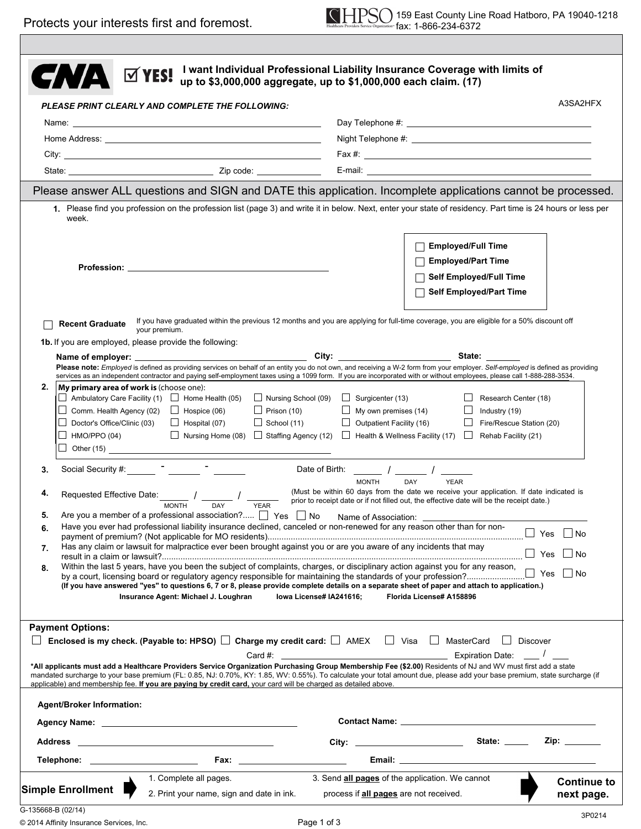|                                                                                                                                                                                                                                                                                                                                                                                                                                                                                                                                | <b>ØYES!</b>                                                                                                                                                                                                                                                                                                                                                                                                                                                                                                                                                                                                                                                                                                                                                                                                                                                                                                                                                                                                                                                                                                              | up to \$3,000,000 aggregate, up to \$1,000,000 each claim. (17)                                                |                                                                                                                      | I want Individual Professional Liability Insurance Coverage with limits of                                                                                                                                                                                                                                                                                   |                                  |  |  |  |  |
|--------------------------------------------------------------------------------------------------------------------------------------------------------------------------------------------------------------------------------------------------------------------------------------------------------------------------------------------------------------------------------------------------------------------------------------------------------------------------------------------------------------------------------|---------------------------------------------------------------------------------------------------------------------------------------------------------------------------------------------------------------------------------------------------------------------------------------------------------------------------------------------------------------------------------------------------------------------------------------------------------------------------------------------------------------------------------------------------------------------------------------------------------------------------------------------------------------------------------------------------------------------------------------------------------------------------------------------------------------------------------------------------------------------------------------------------------------------------------------------------------------------------------------------------------------------------------------------------------------------------------------------------------------------------|----------------------------------------------------------------------------------------------------------------|----------------------------------------------------------------------------------------------------------------------|--------------------------------------------------------------------------------------------------------------------------------------------------------------------------------------------------------------------------------------------------------------------------------------------------------------------------------------------------------------|----------------------------------|--|--|--|--|
|                                                                                                                                                                                                                                                                                                                                                                                                                                                                                                                                |                                                                                                                                                                                                                                                                                                                                                                                                                                                                                                                                                                                                                                                                                                                                                                                                                                                                                                                                                                                                                                                                                                                           | PLEASE PRINT CLEARLY AND COMPLETE THE FOLLOWING:                                                               |                                                                                                                      |                                                                                                                                                                                                                                                                                                                                                              | A3SA2HFX                         |  |  |  |  |
|                                                                                                                                                                                                                                                                                                                                                                                                                                                                                                                                |                                                                                                                                                                                                                                                                                                                                                                                                                                                                                                                                                                                                                                                                                                                                                                                                                                                                                                                                                                                                                                                                                                                           |                                                                                                                |                                                                                                                      |                                                                                                                                                                                                                                                                                                                                                              |                                  |  |  |  |  |
|                                                                                                                                                                                                                                                                                                                                                                                                                                                                                                                                |                                                                                                                                                                                                                                                                                                                                                                                                                                                                                                                                                                                                                                                                                                                                                                                                                                                                                                                                                                                                                                                                                                                           |                                                                                                                |                                                                                                                      |                                                                                                                                                                                                                                                                                                                                                              |                                  |  |  |  |  |
|                                                                                                                                                                                                                                                                                                                                                                                                                                                                                                                                |                                                                                                                                                                                                                                                                                                                                                                                                                                                                                                                                                                                                                                                                                                                                                                                                                                                                                                                                                                                                                                                                                                                           |                                                                                                                |                                                                                                                      |                                                                                                                                                                                                                                                                                                                                                              |                                  |  |  |  |  |
|                                                                                                                                                                                                                                                                                                                                                                                                                                                                                                                                |                                                                                                                                                                                                                                                                                                                                                                                                                                                                                                                                                                                                                                                                                                                                                                                                                                                                                                                                                                                                                                                                                                                           |                                                                                                                |                                                                                                                      |                                                                                                                                                                                                                                                                                                                                                              |                                  |  |  |  |  |
|                                                                                                                                                                                                                                                                                                                                                                                                                                                                                                                                |                                                                                                                                                                                                                                                                                                                                                                                                                                                                                                                                                                                                                                                                                                                                                                                                                                                                                                                                                                                                                                                                                                                           |                                                                                                                |                                                                                                                      | Please answer ALL questions and SIGN and DATE this application. Incomplete applications cannot be processed.                                                                                                                                                                                                                                                 |                                  |  |  |  |  |
|                                                                                                                                                                                                                                                                                                                                                                                                                                                                                                                                | week.                                                                                                                                                                                                                                                                                                                                                                                                                                                                                                                                                                                                                                                                                                                                                                                                                                                                                                                                                                                                                                                                                                                     |                                                                                                                |                                                                                                                      | 1. Please find you profession on the profession list (page 3) and write it in below. Next, enter your state of residency. Part time is 24 hours or less per                                                                                                                                                                                                  |                                  |  |  |  |  |
|                                                                                                                                                                                                                                                                                                                                                                                                                                                                                                                                |                                                                                                                                                                                                                                                                                                                                                                                                                                                                                                                                                                                                                                                                                                                                                                                                                                                                                                                                                                                                                                                                                                                           |                                                                                                                |                                                                                                                      | <b>Employed/Full Time</b><br><b>Employed/Part Time</b><br>Self Employed/Full Time<br><b>Self Employed/Part Time</b>                                                                                                                                                                                                                                          |                                  |  |  |  |  |
|                                                                                                                                                                                                                                                                                                                                                                                                                                                                                                                                | <b>Recent Graduate</b>                                                                                                                                                                                                                                                                                                                                                                                                                                                                                                                                                                                                                                                                                                                                                                                                                                                                                                                                                                                                                                                                                                    | your premium.                                                                                                  |                                                                                                                      | If you have graduated within the previous 12 months and you are applying for full-time coverage, you are eligible for a 50% discount off                                                                                                                                                                                                                     |                                  |  |  |  |  |
|                                                                                                                                                                                                                                                                                                                                                                                                                                                                                                                                | 1b. If you are employed, please provide the following:                                                                                                                                                                                                                                                                                                                                                                                                                                                                                                                                                                                                                                                                                                                                                                                                                                                                                                                                                                                                                                                                    |                                                                                                                |                                                                                                                      | State:                                                                                                                                                                                                                                                                                                                                                       |                                  |  |  |  |  |
|                                                                                                                                                                                                                                                                                                                                                                                                                                                                                                                                |                                                                                                                                                                                                                                                                                                                                                                                                                                                                                                                                                                                                                                                                                                                                                                                                                                                                                                                                                                                                                                                                                                                           |                                                                                                                |                                                                                                                      | Please note: Employed is defined as providing services on behalf of an entity you do not own, and receiving a W-2 form from your employer. Self-employed is defined as providing<br>services as an independent contractor and paying self-employment taxes using a 1099 form. If you are incorporated with or without employees, please call 1-888-288-3534. |                                  |  |  |  |  |
|                                                                                                                                                                                                                                                                                                                                                                                                                                                                                                                                | $\Box$ Ambulatory Care Facility (1) $\Box$ Home Health (05)<br>Comm. Health Agency (02) $\Box$ Hospice (06)<br>⊔<br>Doctor's Office/Clinic (03)<br>HMO/PPO (04)                                                                                                                                                                                                                                                                                                                                                                                                                                                                                                                                                                                                                                                                                                                                                                                                                                                                                                                                                           | $\Box$ Prison (10)<br>$\Box$ School (11)<br>$\Box$ Hospital (07)                                               | $\Box$ Nursing School (09) $\Box$ Surgicenter (13)<br>$\Box$ My own premises (14)<br>$\Box$ Outpatient Facility (16) | Research Center (18)<br>$\Box$<br>Industry (19)<br>⊔<br>Fire/Rescue Station (20)<br>■ Nursing Home (08) $\Box$ Staffing Agency (12) $\Box$ Health & Wellness Facility (17) $\Box$ Rehab Facility (21)                                                                                                                                                        |                                  |  |  |  |  |
| 3.                                                                                                                                                                                                                                                                                                                                                                                                                                                                                                                             | Social Security #: The Contract of the Contract of the Contract of the Contract of the Contract of the Contract of the Contract of the Contract of the Contract of the Contract of the Contract of the Contract of the Contrac                                                                                                                                                                                                                                                                                                                                                                                                                                                                                                                                                                                                                                                                                                                                                                                                                                                                                            |                                                                                                                | Date of Birth: $\frac{1}{\sqrt{2\pi}}$ / $\frac{1}{\sqrt{2\pi}}$                                                     |                                                                                                                                                                                                                                                                                                                                                              |                                  |  |  |  |  |
| 4.<br>5.<br>6.<br>7.<br>8.                                                                                                                                                                                                                                                                                                                                                                                                                                                                                                     | DAY<br><b>MONTH</b><br><b>YEAR</b><br>(Must be within 60 days from the date we receive your application. If date indicated is<br>Requested Effective Date: _______ / _______ /<br>prior to receipt date or if not filled out, the effective date will be the receipt date.)<br><b>MONTH</b><br><b>YEAR</b><br>Are you a member of a professional association? $\Box$ Yes $\Box$ No<br>Name of Association: <u>Name of</u> Association:<br>Have you ever had professional liability insurance declined, canceled or non-renewed for any reason other than for non-<br>$\Box$ Yes $\Box$ No<br>Has any claim or lawsuit for malpractice ever been brought against you or are you aware of any incidents that may<br>$\Box$ Yes<br>$\Box$ No<br>Within the last 5 years, have you been the subject of complaints, charges, or disciplinary action against you for any reason,<br>(If you have answered "yes" to questions 6, 7 or 8, please provide complete details on a separate sheet of paper and attach to application.)<br>Insurance Agent: Michael J. Loughran<br>lowa License# IA241616;<br>Florida License# A158896 |                                                                                                                |                                                                                                                      |                                                                                                                                                                                                                                                                                                                                                              |                                  |  |  |  |  |
|                                                                                                                                                                                                                                                                                                                                                                                                                                                                                                                                | <b>Payment Options:</b>                                                                                                                                                                                                                                                                                                                                                                                                                                                                                                                                                                                                                                                                                                                                                                                                                                                                                                                                                                                                                                                                                                   |                                                                                                                |                                                                                                                      |                                                                                                                                                                                                                                                                                                                                                              |                                  |  |  |  |  |
| Enclosed is my check. (Payable to: HPSO) $\Box$ Charge my credit card: $\Box$ AMEX $\Box$ Visa $\Box$ MasterCard<br>Discover<br>Card #: $\qquad \qquad$<br><b>Expiration Date:</b><br>*All applicants must add a Healthcare Providers Service Organization Purchasing Group Membership Fee (\$2.00) Residents of NJ and WV must first add a state<br>mandated surcharge to your base premium (FL: 0.85, NJ: 0.70%, KY: 1.85, WV: 0.55%). To calculate your total amount due, please add your base premium, state surcharge (if |                                                                                                                                                                                                                                                                                                                                                                                                                                                                                                                                                                                                                                                                                                                                                                                                                                                                                                                                                                                                                                                                                                                           |                                                                                                                |                                                                                                                      |                                                                                                                                                                                                                                                                                                                                                              |                                  |  |  |  |  |
|                                                                                                                                                                                                                                                                                                                                                                                                                                                                                                                                |                                                                                                                                                                                                                                                                                                                                                                                                                                                                                                                                                                                                                                                                                                                                                                                                                                                                                                                                                                                                                                                                                                                           | applicable) and membership fee. If you are paying by credit card, your card will be charged as detailed above. |                                                                                                                      |                                                                                                                                                                                                                                                                                                                                                              |                                  |  |  |  |  |
|                                                                                                                                                                                                                                                                                                                                                                                                                                                                                                                                | <b>Agent/Broker Information:</b>                                                                                                                                                                                                                                                                                                                                                                                                                                                                                                                                                                                                                                                                                                                                                                                                                                                                                                                                                                                                                                                                                          |                                                                                                                |                                                                                                                      |                                                                                                                                                                                                                                                                                                                                                              |                                  |  |  |  |  |
|                                                                                                                                                                                                                                                                                                                                                                                                                                                                                                                                |                                                                                                                                                                                                                                                                                                                                                                                                                                                                                                                                                                                                                                                                                                                                                                                                                                                                                                                                                                                                                                                                                                                           | Agency Name: Name: Name and Agency Name: Name and Agency Name: Name and Agency Name and Agency Name and Agency |                                                                                                                      |                                                                                                                                                                                                                                                                                                                                                              |                                  |  |  |  |  |
|                                                                                                                                                                                                                                                                                                                                                                                                                                                                                                                                |                                                                                                                                                                                                                                                                                                                                                                                                                                                                                                                                                                                                                                                                                                                                                                                                                                                                                                                                                                                                                                                                                                                           |                                                                                                                |                                                                                                                      |                                                                                                                                                                                                                                                                                                                                                              | Zip: $\qquad \qquad$             |  |  |  |  |
|                                                                                                                                                                                                                                                                                                                                                                                                                                                                                                                                | Telephone: __________________________                                                                                                                                                                                                                                                                                                                                                                                                                                                                                                                                                                                                                                                                                                                                                                                                                                                                                                                                                                                                                                                                                     |                                                                                                                |                                                                                                                      |                                                                                                                                                                                                                                                                                                                                                              |                                  |  |  |  |  |
| G-135668-B (02/14)                                                                                                                                                                                                                                                                                                                                                                                                                                                                                                             | <b>Simple Enrollment</b>                                                                                                                                                                                                                                                                                                                                                                                                                                                                                                                                                                                                                                                                                                                                                                                                                                                                                                                                                                                                                                                                                                  | 1. Complete all pages.<br>2. Print your name, sign and date in ink.                                            | process if all pages are not received.                                                                               | 3. Send all pages of the application. We cannot                                                                                                                                                                                                                                                                                                              | <b>Continue to</b><br>next page. |  |  |  |  |
|                                                                                                                                                                                                                                                                                                                                                                                                                                                                                                                                |                                                                                                                                                                                                                                                                                                                                                                                                                                                                                                                                                                                                                                                                                                                                                                                                                                                                                                                                                                                                                                                                                                                           |                                                                                                                |                                                                                                                      |                                                                                                                                                                                                                                                                                                                                                              | 3P0214                           |  |  |  |  |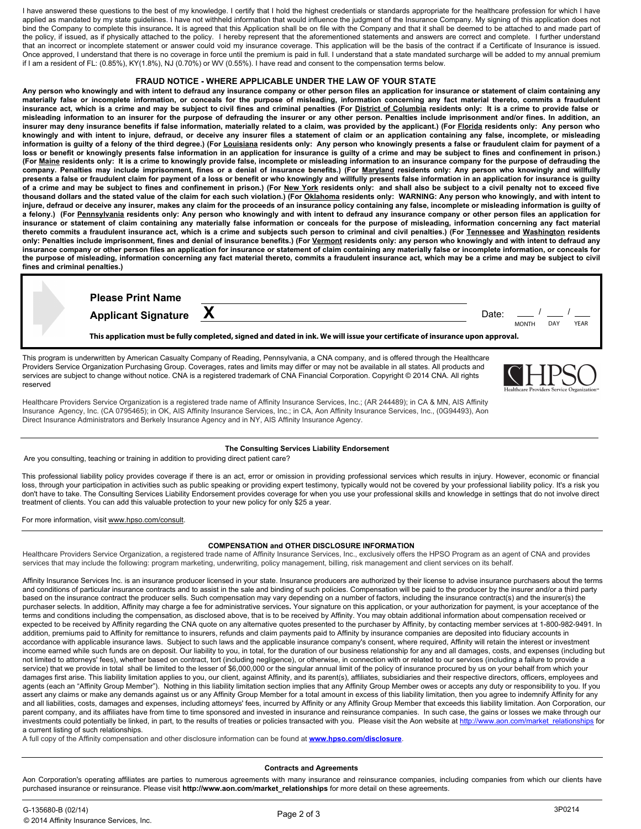I have answered these questions to the best of my knowledge. I certify that I hold the highest credentials or standards appropriate for the healthcare profession for which I have applied as mandated by my state guidelines. I have not withheld information that would influence the judgment of the Insurance Company. My signing of this application does not bind the Company to complete this insurance**.** It is agreed that this Application shall be on file with the Company and that it shall be deemed to be attached to and made part of the policy, if issued, as if physically attached to the policy. I hereby represent that the aforementioned statements and answers are correct and complete. I further understand that an incorrect or incomplete statement or answer could void my insurance coverage. This application will be the basis of the contract if a Certificate of Insurance is issued. Once approved, I understand that there is no coverage in force until the premium is paid in full. I understand that a state mandated surcharge will be added to my annual premium if I am a resident of FL: (0.85%), KY(1.8%), NJ (0.70%) or WV (0.55%). I have read and consent to the compensation terms below.

## **FRAUD NOTICE - WHERE APPLICABLE UNDER THE LAW OF YOUR STATE**

**Any person who knowingly and with intent to defraud any insurance company or other person files an application for insurance or statement of claim containing any materially false or incomplete information, or conceals for the purpose of misleading, information concerning any fact material thereto, commits a fraudulent insurance act, which is a crime and may be subject to civil fines and criminal penalties (For District of Columbia residents only: It is a crime to provide false or misleading information to an insurer for the purpose of defrauding the insurer or any other person. Penalties include imprisonment and/or fines. In addition, an insurer may deny insurance benefits if false information, materially related to a claim, was provided by the applicant.) (For Florida residents only: Any person who knowingly and with intent to injure, defraud, or deceive any insurer files a statement of claim or an application containing any false, incomplete, or misleading information is guilty of a felony of the third degree.) (For Louisiana residents only: Any person who knowingly presents a false or fraudulent claim for payment of a loss or benefit or knowingly presents false information in an application for insurance is guilty of a crime and may be subject to fines and confinement in prison.) (For Maine residents only: It is a crime to knowingly provide false, incomplete or misleading information to an insurance company for the purpose of defrauding the company. Penalties may include imprisonment, fines or a denial of insurance benefits.) (For Maryland residents only: Any person who knowingly and willfully presents a false or fraudulent claim for payment of a loss or benefit or who knowingly and willfully presents false information in an application for insurance is guilty of a crime and may be subject to fines and confinement in prison.) (For New York residents only: and shall also be subject to a civil penalty not to exceed five thousand dollars and the stated value of the claim for each such violation.) (For Oklahoma residents only: WARNING: Any person who knowingly, and with intent to injure, defraud or deceive any insurer, makes any claim for the proceeds of an insurance policy containing any false, incomplete or misleading information is guilty of a felony.) (For Pennsylvania residents only: Any person who knowingly and with intent to defraud any insurance company or other person files an application for insurance or statement of claim containing any materially false information or conceals for the purpose of misleading, information concerning any fact material thereto commits a fraudulent insurance act, which is a crime and subjects such person to criminal and civil penalties.) (For Tennessee and Washington residents only: Penalties include imprisonment, fines and denial of insurance benefits.) (For Vermont residents only: any person who knowingly and with intent to defraud any insurance company or other person files an application for insurance or statement of claim containing any materially false or incomplete information, or conceals for the purpose of misleading, information concerning any fact material thereto, commits a fraudulent insurance act, which may be a crime and may be subject to civil fines and criminal penalties.)** 

| <b>Please Print Name</b>                                                                                                      |  |       |              |     |             |  |  |
|-------------------------------------------------------------------------------------------------------------------------------|--|-------|--------------|-----|-------------|--|--|
| Applicant Signature X                                                                                                         |  | Date: | <b>MONTH</b> | DAY | <b>YEAR</b> |  |  |
| This application must be fully completed, signed and dated in ink. We will issue your certificate of insurance upon approval. |  |       |              |     |             |  |  |

This program is underwritten by American Casualty Company of Reading, Pennsylvania, a CNA company, and is offered through the Healthcare Providers Service Organization Purchasing Group. Coverages, rates and limits may differ or may not be available in all states. All products and services are subject to change without notice. CNA is a registered trademark of CNA Financial Corporation. Copyright © 2014 CNA. All rights reserved



Healthcare Providers Service Organization is a registered trade name of Affinity Insurance Services, Inc.; (AR 244489); in CA & MN, AIS Affinity Insurance Agency, Inc. (CA 0795465); in OK, AIS Affinity Insurance Services, Inc.; in CA, Aon Affinity Insurance Services, Inc., (0G94493), Aon Direct Insurance Administrators and Berkely Insurance Agency and in NY, AIS Affinity Insurance Agency.

## **The Consulting Services Liability Endorsement**

Are you consulting, teaching or training in addition to providing direct patient care?

This professional liability policy provides coverage if there is an act, error or omission in providing professional services which results in injury. However, economic or financial loss, through your participation in activities such as public speaking or providing expert testimony, typically would not be covered by your professional liability policy. It's a risk you don't have to take. The Consulting Services Liability Endorsement provides coverage for when you use your professional skills and knowledge in settings that do not involve direct treatment of clients. You can add this valuable protection to your new policy for only \$25 a year.

For more information, visit [www.hpso.com/consult](http://}{\rtlch\fcs1 \af1\afs14 \ltrch\fcs0 \f1\fs14\ul\cf2\insrsid14115266 www.nso.com/consult}{\rtlch\fcs1 
\af1\afs14 \ltrch\fcs0 \f1\fs14\ul\cf2\insrsid14115266 ).

 $\overline{a}$ 

## **COMPENSATION and OTHER DISCLOSURE INFORMATION**

Healthcare Providers Service Organization, a registered trade name of Affinity Insurance Services, Inc., exclusively offers the HPSO Program as an agent of CNA and provides services that may include the following: program marketing, underwriting, policy management, billing, risk management and client services on its behalf.

Affinity Insurance Services Inc. is an insurance producer licensed in your state. Insurance producers are authorized by their license to advise insurance purchasers about the terms and conditions of particular insurance contracts and to assist in the sale and binding of such policies. Compensation will be paid to the producer by the insurer and/or a third party based on the insurance contract the producer sells. Such compensation may vary depending on a number of factors, including the insurance contract(s) and the insurer(s) the purchaser selects. In addition, Affinity may charge a fee for administrative services**.** Your signature on this application, or your authorization for payment, is your acceptance of the terms and conditions including the compensation, as disclosed above, that is to be received by Affinity. You may obtain additional information about compensation received or expected to be received by Affinity regarding the CNA quote on any alternative quotes presented to the purchaser by Affinity, by contacting member services at 1-800-982-9491. In addition, premiums paid to Affinity for remittance to insurers, refunds and claim payments paid to Affinity by insurance companies are deposited into fiduciary accounts in accordance with applicable insurance laws. Subject to such laws and the applicable insurance company's consent, where required, Affinity will retain the interest or investment income earned while such funds are on deposit. Our liability to you, in total, for the duration of our business relationship for any and all damages, costs, and expenses (including but not limited to attorneys' fees), whether based on contract, tort (including negligence), or otherwise, in connection with or related to our services (including a failure to provide a service) that we provide in total shall be limited to the lesser of \$6,000,000 or the singular annual limit of the policy of insurance procured by us on your behalf from which your damages first arise. This liability limitation applies to you, our client, against Affinity, and its parent(s), affiliates, subsidiaries and their respective directors, officers, employees and agents (each an "Affinity Group Member"). Nothing in this liability limitation section implies that any Affinity Group Member owes or accepts any duty or responsibility to you. If you assert any claims or make any demands against us or any Affinity Group Member for a total amount in excess of this liability limitation, then you agree to indemnify Affinity for any and all liabilities, costs, damages and expenses, including attorneys' fees, incurred by Affinity or any Affinity Group Member that exceeds this liability limitation. Aon Corporation, our parent company, and its affiliates have from time to time sponsored and invested in insurance and reinsurance companies. In such case, the gains or losses we make through our investments could potentially be linked, in part, to the results of treaties or policies transacted with you. Please visit the Aon website at http://www.aon.com/market\_relationships for a current listing of such relationships.

A full copy of the Affinity compensation and other disclosure information can be found at **www.hpso.com/disclosure**.

## **Contracts and Agreements**

Aon Corporation's operating affiliates are parties to numerous agreements with many insurance and reinsurance companies, including companies from which our clients have purchased insurance or reinsurance. Please visit **http://www.aon.com/market\_relationships** for more detail on these agreements.